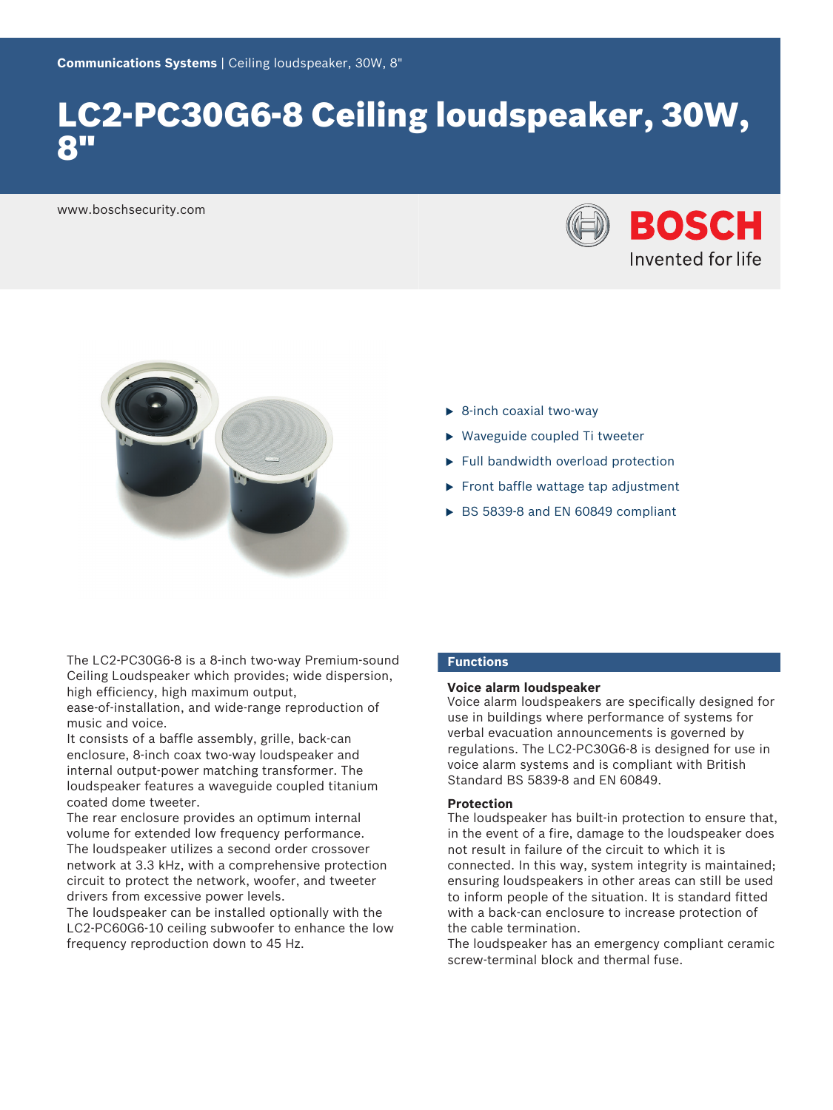# LC2-PC30G6-8 Ceiling loudspeaker, 30W, 8"

www.boschsecurity.com





- $\triangleright$  8-inch coaxial two-way
- $\triangleright$  Waveguide coupled Ti tweeter
- $\blacktriangleright$  Full bandwidth overload protection
- $\blacktriangleright$  Front baffle wattage tap adjustment
- $\triangleright$  BS 5839-8 and EN 60849 compliant

The LC2-PC30G6-8 is a 8-inch two-way Premium-sound Ceiling Loudspeaker which provides; wide dispersion, high efficiency, high maximum output,

ease-of-installation, and wide-range reproduction of music and voice.

It consists of a baffle assembly, grille, back-can enclosure, 8‑inch coax two‑way loudspeaker and internal output-power matching transformer. The loudspeaker features a waveguide coupled titanium coated dome tweeter.

The rear enclosure provides an optimum internal volume for extended low frequency performance. The loudspeaker utilizes a second order crossover network at 3.3 kHz, with a comprehensive protection circuit to protect the network, woofer, and tweeter drivers from excessive power levels.

The loudspeaker can be installed optionally with the LC2‑PC60G6‑10 ceiling subwoofer to enhance the low frequency reproduction down to 45 Hz.

# **Functions**

# **Voice alarm loudspeaker**

Voice alarm loudspeakers are specifically designed for use in buildings where performance of systems for verbal evacuation announcements is governed by regulations. The LC2‑PC30G6‑8 is designed for use in voice alarm systems and is compliant with British Standard BS 5839‑8 and EN 60849.

# **Protection**

The loudspeaker has built-in protection to ensure that, in the event of a fire, damage to the loudspeaker does not result in failure of the circuit to which it is connected. In this way, system integrity is maintained; ensuring loudspeakers in other areas can still be used to inform people of the situation. It is standard fitted with a back-can enclosure to increase protection of the cable termination.

The loudspeaker has an emergency compliant ceramic screw-terminal block and thermal fuse.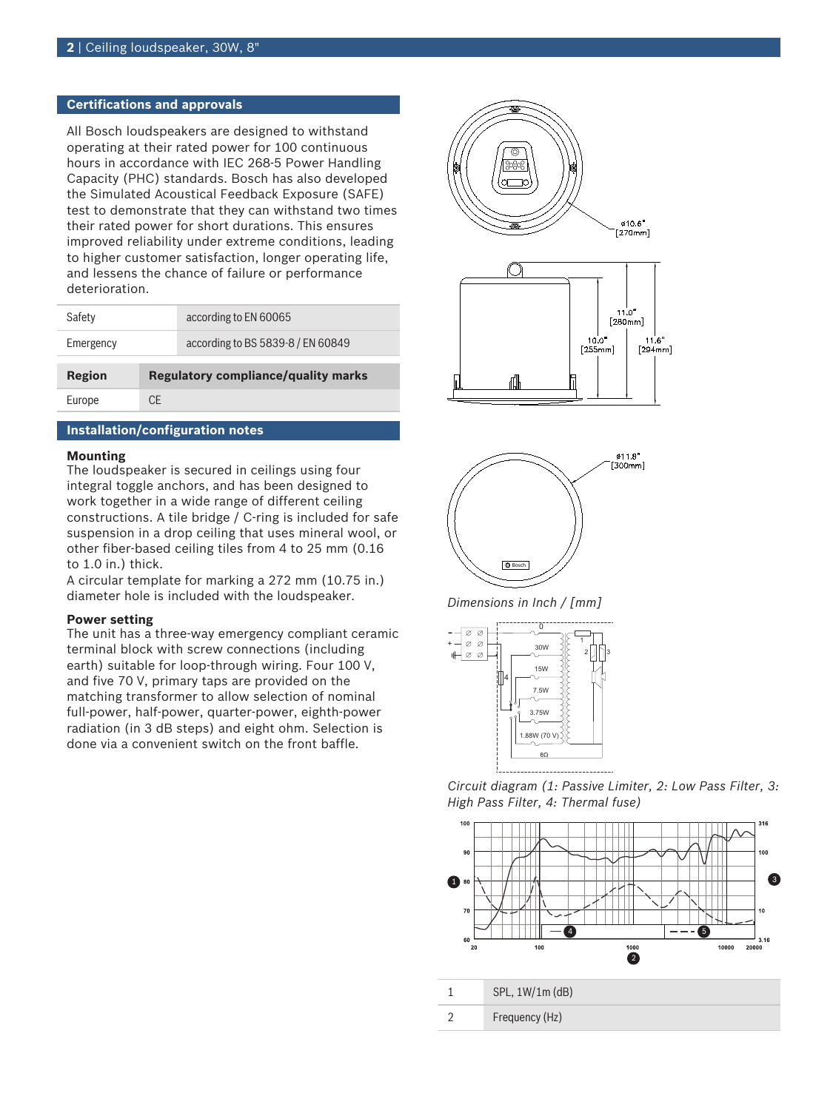# **Certifications and approvals**

All Bosch loudspeakers are designed to withstand operating at their rated power for 100 continuous hours in accordance with IEC 268‑5 Power Handling Capacity (PHC) standards. Bosch has also developed the Simulated Acoustical Feedback Exposure (SAFE) test to demonstrate that they can withstand two times their rated power for short durations. This ensures improved reliability under extreme conditions, leading to higher customer satisfaction, longer operating life, and lessens the chance of failure or performance deterioration.

| Safety    |                                            | according to EN 60065             |
|-----------|--------------------------------------------|-----------------------------------|
| Emergency |                                            | according to BS 5839-8 / EN 60849 |
|           |                                            |                                   |
| Region    | <b>Regulatory compliance/quality marks</b> |                                   |
| Europe    | CF.                                        |                                   |

# **Installation/configuration notes**

# **Mounting**

The loudspeaker is secured in ceilings using four integral toggle anchors, and has been designed to work together in a wide range of different ceiling constructions. A tile bridge / C-ring is included for safe suspension in a drop ceiling that uses mineral wool, or other fiber-based ceiling tiles from 4 to 25 mm (0.16 to 1.0 in.) thick.

A circular template for marking a 272 mm (10.75 in.) diameter hole is included with the loudspeaker.

### **Power setting**

The unit has a three‑way emergency compliant ceramic terminal block with screw connections (including earth) suitable for loop-through wiring. Four 100 V, and five 70 V, primary taps are provided on the matching transformer to allow selection of nominal full-power, half-power, quarter-power, eighth-power radiation (in 3 dB steps) and eight ohm. Selection is done via a convenient switch on the front baffle.







*Dimensions in Inch / [mm]*



*Circuit diagram (1: Passive Limiter, 2: Low Pass Filter, 3: High Pass Filter, 4: Thermal fuse)*

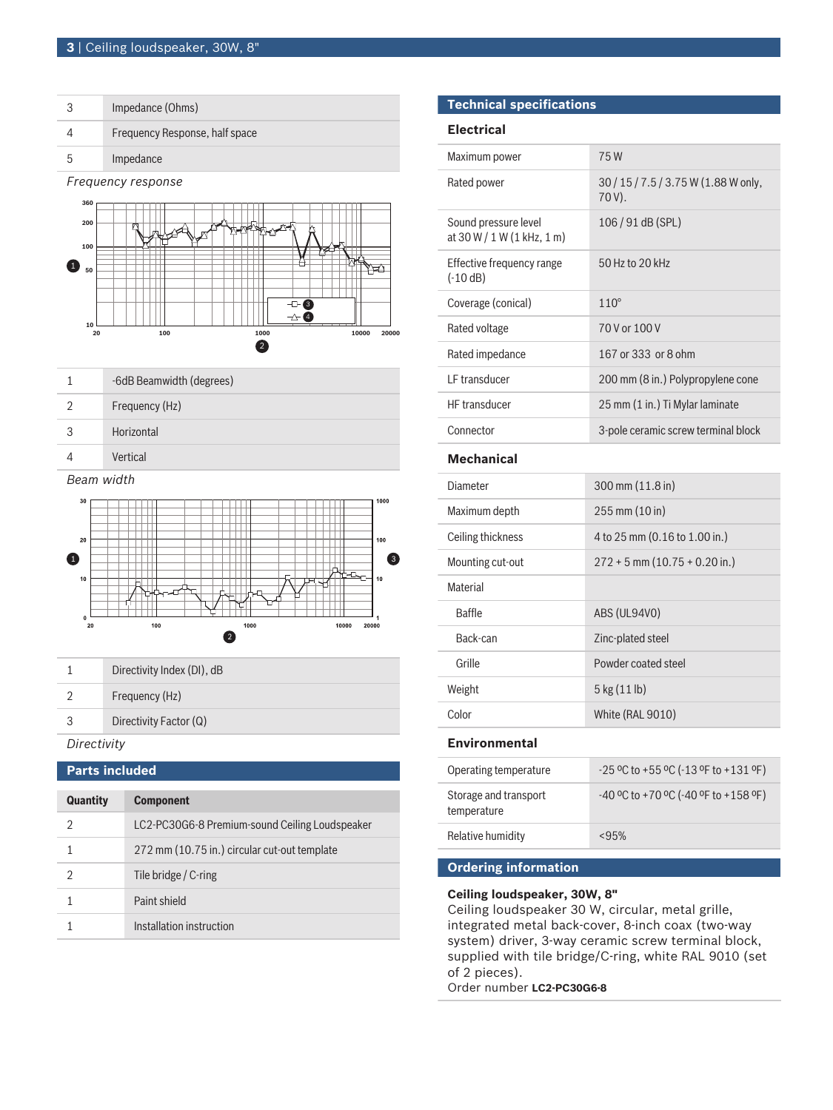|                    | Impedance (Ohms)               |  |
|--------------------|--------------------------------|--|
|                    | Frequency Response, half space |  |
| ხ                  | Impedance                      |  |
| Frequency response |                                |  |



|            | -6dB Beamwidth (degrees) |  |  |  |
|------------|--------------------------|--|--|--|
| 2          | Frequency (Hz)           |  |  |  |
| 3          | Horizontal               |  |  |  |
|            | Vertical                 |  |  |  |
| Beam width |                          |  |  |  |
| 30         | 1000                     |  |  |  |



|               | Directivity Index (DI), dB |  |
|---------------|----------------------------|--|
| $\mathcal{D}$ | Frequency (Hz)             |  |
| 3             | Directivity Factor (Q)     |  |
| Directivity   |                            |  |

# **Parts included**

| <b>Quantity</b> | <b>Component</b>                               |
|-----------------|------------------------------------------------|
| 2               | LC2-PC30G6-8 Premium-sound Ceiling Loudspeaker |
|                 | 272 mm (10.75 in.) circular cut-out template   |
| 2               | Tile bridge / C-ring                           |
|                 | Paint shield                                   |
|                 | Installation instruction                       |

# **Technical specifications**

# **Electrical**

| Maximum power                                      | 75W                                            |
|----------------------------------------------------|------------------------------------------------|
| Rated power                                        | 30 / 15 / 7.5 / 3.75 W (1.88 W only,<br>70 V). |
| Sound pressure level<br>at 30 W / 1 W (1 kHz, 1 m) | 106/91 dB (SPL)                                |
| Effective frequency range<br>$(-10 dB)$            | 50 Hz to 20 kHz                                |
| Coverage (conical)                                 | $110^\circ$                                    |
| Rated voltage                                      | 70 V or 100 V                                  |
| Rated impedance                                    | 167 or 333 or 8 ohm                            |
| LF transducer                                      | 200 mm (8 in.) Polypropylene cone              |
| HF transducer                                      | 25 mm (1 in.) Ti Mylar laminate                |
| Connector                                          | 3-pole ceramic screw terminal block            |
| <b>Mechanical</b>                                  |                                                |
| Diameter                                           | $300 \text{ mm} (11.8 \text{ in})$             |
| Maximum depth                                      | 255 mm (10 in)                                 |
| Ceiling thickness                                  | 4 to 25 mm (0.16 to 1.00 in.)                  |
| Mounting cut-out                                   | $272 + 5$ mm $(10.75 + 0.20$ in.)              |
| <b>Material</b>                                    |                                                |
| <b>Baffle</b>                                      | ABS (UL94V0)                                   |
| Back-can                                           | Zinc-plated steel                              |
| Grille                                             | Powder coated steel                            |
| Weight                                             | 5 kg (11 lb)                                   |
| Color                                              | White (RAL 9010)                               |
| <b>Environmental</b>                               |                                                |
| Operating temperature                              | -25 °C to +55 °C (-13 °F to +131 °F)           |
| Storage and transport<br>temperature               | -40 °C to +70 °C (-40 °F to +158 °F)           |
| Relative humidity                                  | < 95%                                          |
| <b>Ordering information</b>                        |                                                |

# **Ceiling loudspeaker, 30W, 8"**

Ceiling loudspeaker 30 W, circular, metal grille, integrated metal back-cover, 8-inch coax (two-way system) driver, 3-way ceramic screw terminal block, supplied with tile bridge/C-ring, white RAL 9010 (set of 2 pieces). Order number **LC2-PC30G6-8**